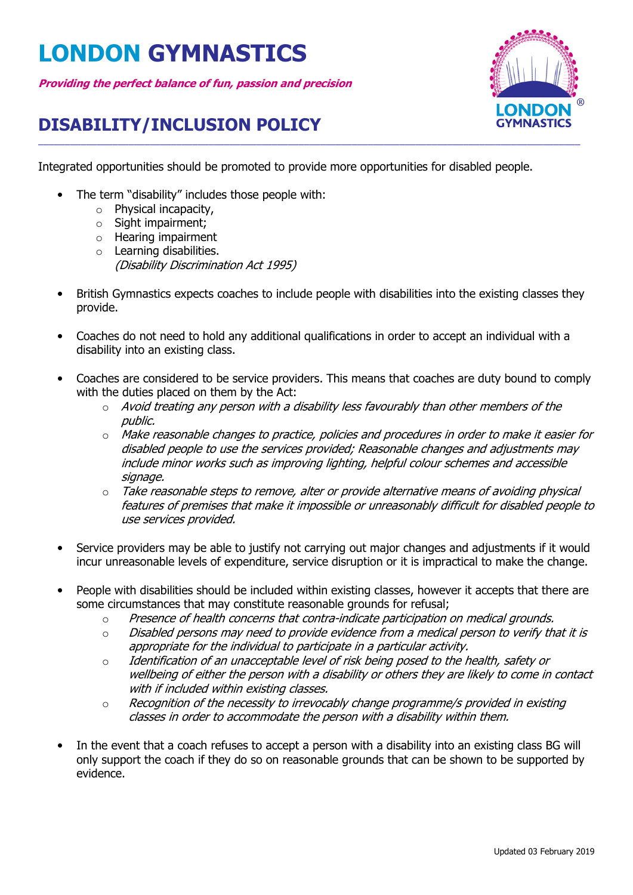## **LONDON GYMNASTICS**

**Providing the perfect balance of fun, passion and precision**



## **DISABILITY/INCLUSION POLICY**

Integrated opportunities should be promoted to provide more opportunities for disabled people.

\_\_\_\_\_\_\_\_\_\_\_\_\_\_\_\_\_\_\_\_\_\_\_\_\_\_\_\_\_\_\_\_\_\_\_\_\_\_\_\_\_\_\_\_\_\_\_\_\_\_\_\_\_\_\_\_\_\_\_\_\_\_\_\_\_\_\_\_\_\_\_\_\_\_\_\_\_\_\_\_\_\_\_\_\_\_\_\_\_\_\_\_\_\_\_\_\_\_\_\_\_\_

- The term "disability" includes those people with:
	- o Physical incapacity,
	- o Sight impairment;
	- o Hearing impairment
	- o Learning disabilities. (Disability Discrimination Act 1995)
- British Gymnastics expects coaches to include people with disabilities into the existing classes they provide.
- Coaches do not need to hold any additional qualifications in order to accept an individual with a disability into an existing class.
- Coaches are considered to be service providers. This means that coaches are duty bound to comply with the duties placed on them by the Act:
	- $\circ$  Avoid treating any person with a disability less favourably than other members of the public.
	- $\circ$  Make reasonable changes to practice, policies and procedures in order to make it easier for disabled people to use the services provided; Reasonable changes and adjustments may include minor works such as improving lighting, helpful colour schemes and accessible signage.
	- $\circ$  Take reasonable steps to remove, alter or provide alternative means of avoiding physical features of premises that make it impossible or unreasonably difficult for disabled people to use services provided.
- Service providers may be able to justify not carrying out major changes and adjustments if it would incur unreasonable levels of expenditure, service disruption or it is impractical to make the change.
- People with disabilities should be included within existing classes, however it accepts that there are some circumstances that may constitute reasonable grounds for refusal;
	- o Presence of health concerns that contra-indicate participation on medical grounds.
	- $\circ$  Disabled persons may need to provide evidence from a medical person to verify that it is appropriate for the individual to participate in a particular activity.
	- $\circ$  Identification of an unacceptable level of risk being posed to the health, safety or wellbeing of either the person with a disability or others they are likely to come in contact with if included within existing classes.
	- $\circ$  Recognition of the necessity to irrevocably change programme/s provided in existing classes in order to accommodate the person with a disability within them.
- In the event that a coach refuses to accept a person with a disability into an existing class BG will only support the coach if they do so on reasonable grounds that can be shown to be supported by evidence.